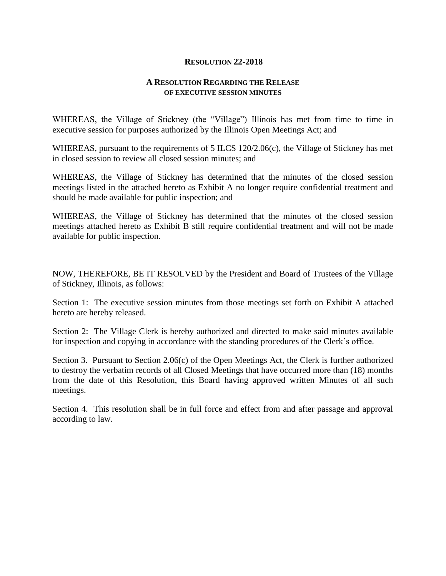## **RESOLUTION 22-2018**

## **A RESOLUTION REGARDING THE RELEASE OF EXECUTIVE SESSION MINUTES**

WHEREAS, the Village of Stickney (the "Village") Illinois has met from time to time in executive session for purposes authorized by the Illinois Open Meetings Act; and

WHEREAS, pursuant to the requirements of 5 ILCS 120/2.06(c), the Village of Stickney has met in closed session to review all closed session minutes; and

WHEREAS, the Village of Stickney has determined that the minutes of the closed session meetings listed in the attached hereto as Exhibit A no longer require confidential treatment and should be made available for public inspection; and

WHEREAS, the Village of Stickney has determined that the minutes of the closed session meetings attached hereto as Exhibit B still require confidential treatment and will not be made available for public inspection.

NOW, THEREFORE, BE IT RESOLVED by the President and Board of Trustees of the Village of Stickney, Illinois, as follows:

Section 1: The executive session minutes from those meetings set forth on Exhibit A attached hereto are hereby released.

Section 2: The Village Clerk is hereby authorized and directed to make said minutes available for inspection and copying in accordance with the standing procedures of the Clerk's office.

Section 3. Pursuant to Section 2.06(c) of the Open Meetings Act, the Clerk is further authorized to destroy the verbatim records of all Closed Meetings that have occurred more than (18) months from the date of this Resolution, this Board having approved written Minutes of all such meetings.

Section 4. This resolution shall be in full force and effect from and after passage and approval according to law.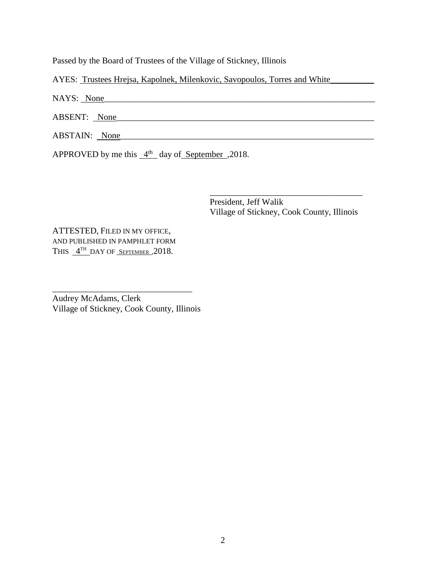Passed by the Board of Trustees of the Village of Stickney, Illinois

AYES: Trustees Hrejsa, Kapolnek, Milenkovic, Savopoulos, Torres and White\_\_\_\_\_\_\_\_

NAYS: None

ABSENT: <u>None</u>

ABSTAIN: None\_\_\_\_\_\_\_\_\_\_\_\_\_\_\_\_\_\_\_\_\_\_\_\_\_\_\_\_\_\_\_\_\_\_\_\_\_\_\_\_\_\_\_\_\_\_\_\_\_\_\_\_\_\_\_\_\_\_

APPROVED by me this  $4<sup>th</sup>$  day of September , 2018.

President, Jeff Walik Village of Stickney, Cook County, Illinois

\_\_\_\_\_\_\_\_\_\_\_\_\_\_\_\_\_\_\_\_\_\_\_\_\_\_\_\_\_\_\_\_\_\_\_

ATTESTED, FILED IN MY OFFICE, AND PUBLISHED IN PAMPHLET FORM THIS  $4<sup>TH</sup>$  DAY OF SEPTEMBER , 2018.

Audrey McAdams, Clerk Village of Stickney, Cook County, Illinois

\_\_\_\_\_\_\_\_\_\_\_\_\_\_\_\_\_\_\_\_\_\_\_\_\_\_\_\_\_\_\_\_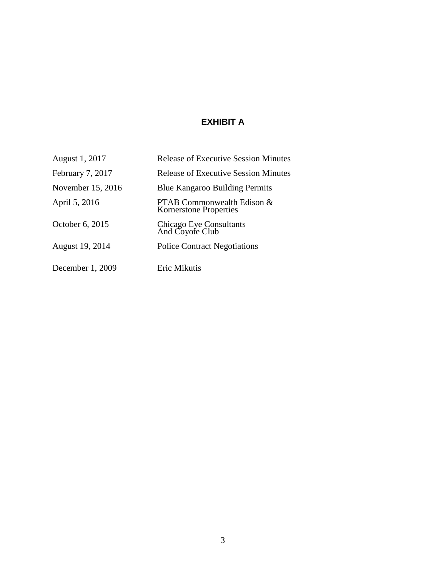## **EXHIBIT A**

| August 1, 2017    | <b>Release of Executive Session Minutes</b>                 |
|-------------------|-------------------------------------------------------------|
| February 7, 2017  | <b>Release of Executive Session Minutes</b>                 |
| November 15, 2016 | <b>Blue Kangaroo Building Permits</b>                       |
| April 5, 2016     | PTAB Commonwealth Edison &<br><b>Kornerstone Properties</b> |
| October 6, 2015   | Chicago Eye Consultants<br>And Coyote Club                  |
| August 19, 2014   | <b>Police Contract Negotiations</b>                         |
| December 1, 2009  | Eric Mikutis                                                |